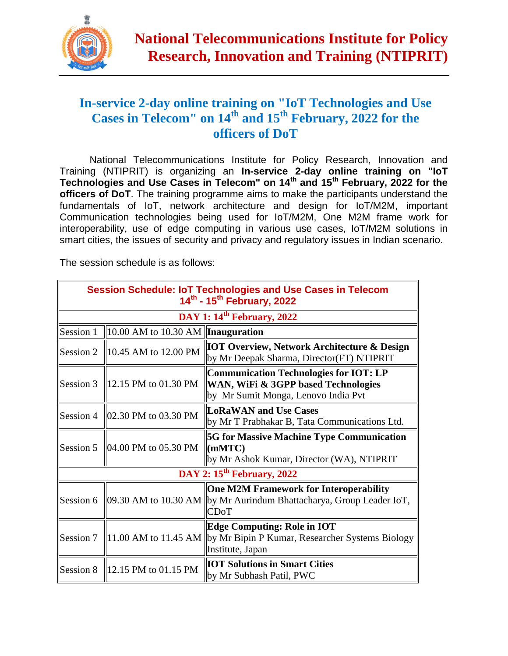

## **In-service 2-day online training on "IoT Technologies and Use Cases in Telecom" on 14th and 15th February, 2022 for the officers of DoT**

National Telecommunications Institute for Policy Research, Innovation and Training (NTIPRIT) is organizing an **In-service 2-day online training on "IoT Technologies and Use Cases in Telecom" on 14th and 15th February, 2022 for the officers of DoT**. The training programme aims to make the participants understand the fundamentals of IoT, network architecture and design for IoT/M2M, important Communication technologies being used for IoT/M2M, One M2M frame work for interoperability, use of edge computing in various use cases, IoT/M2M solutions in smart cities, the issues of security and privacy and regulatory issues in Indian scenario.

The session schedule is as follows:

| <b>Session Schedule: IoT Technologies and Use Cases in Telecom</b><br>14 <sup>th</sup> - 15 <sup>th</sup> February, 2022 |                                                           |                                                                                                                                                        |
|--------------------------------------------------------------------------------------------------------------------------|-----------------------------------------------------------|--------------------------------------------------------------------------------------------------------------------------------------------------------|
| DAY 1: $14^{\text{th}}$ February, 2022                                                                                   |                                                           |                                                                                                                                                        |
| Session 1                                                                                                                | $\parallel$ 10.00 AM to 10.30 AM $\parallel$ Inauguration |                                                                                                                                                        |
| Session 2                                                                                                                | $10.45$ AM to 12.00 PM                                    | <b>IOT Overview, Network Architecture &amp; Design</b><br>by Mr Deepak Sharma, Director(FT) NTIPRIT                                                    |
| Session 3                                                                                                                | 12.15 PM to 01.30 PM                                      | <b>Communication Technologies for IOT: LP</b><br><b>WAN, WiFi &amp; 3GPP based Technologies</b><br>by Mr Sumit Monga, Lenovo India Pvt                 |
| Session 4                                                                                                                | $\parallel$ 02.30 PM to 03.30 PM                          | <b>LoRaWAN and Use Cases</b><br>by Mr T Prabhakar B, Tata Communications Ltd.                                                                          |
|                                                                                                                          | Session 5 $\parallel$ 04.00 PM to 05.30 PM                | <b>5G for Massive Machine Type Communication</b><br>$ $ (mMTC)<br>by Mr Ashok Kumar, Director (WA), NTIPRIT                                            |
| DAY 2: 15 <sup>th</sup> February, 2022                                                                                   |                                                           |                                                                                                                                                        |
|                                                                                                                          |                                                           | <b>One M2M Framework for Interoperability</b><br>Session 6   09.30 AM to 10.30 AM   by Mr Aurindum Bhattacharya, Group Leader IoT,<br><b>CDoT</b>      |
| Session 7                                                                                                                |                                                           | <b>Edge Computing: Role in IOT</b><br>$\parallel$ 11.00 AM to 11.45 AM $\parallel$ by Mr Bipin P Kumar, Researcher Systems Biology<br>Institute, Japan |
| Session 8                                                                                                                | 12.15 PM to 01.15 PM                                      | <b>IOT Solutions in Smart Cities</b><br>by Mr Subhash Patil, PWC                                                                                       |